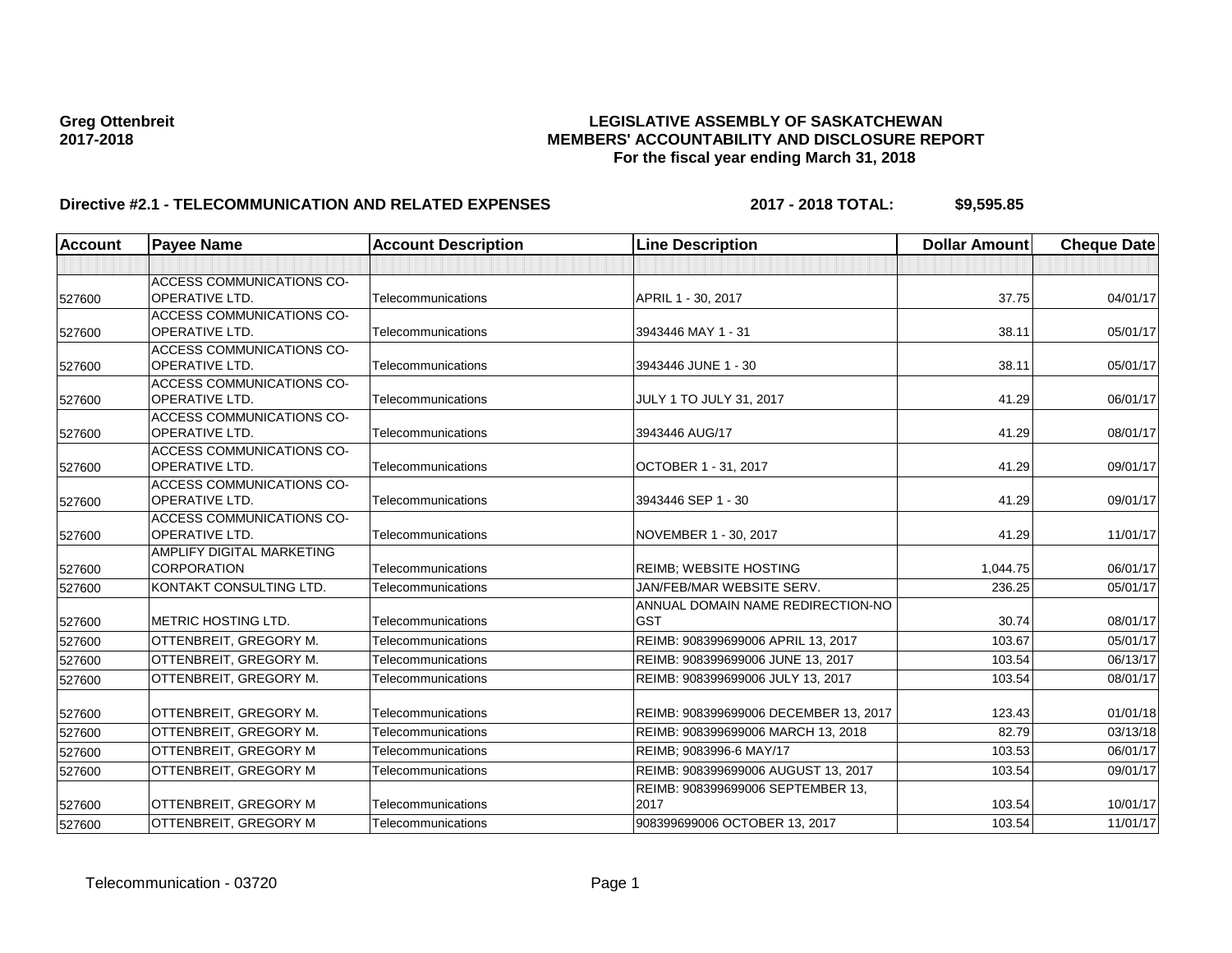# Greg Ottenbreit<br>LEGISLATIVE ASSEMBLY OF SASKATCHEWAN<br>MEMBERS' ACCOUNTABILITY AND DISCLOSURE REF **2017-2018 MEMBERS' ACCOUNTABILITY AND DISCLOSURE REPORT For the fiscal year ending March 31, 2018**

# **Directive #2.1 - TELECOMMUNICATION AND RELATED EXPENSES 2017 - 2018 TOTAL: \$9,595.85**

| <b>Account</b> | <b>Payee Name</b>                                         | <b>Account Description</b> | <b>Line Description</b>                         | <b>Dollar Amount</b> | <b>Cheque Date</b> |
|----------------|-----------------------------------------------------------|----------------------------|-------------------------------------------------|----------------------|--------------------|
|                |                                                           |                            |                                                 |                      |                    |
| 527600         | <b>ACCESS COMMUNICATIONS CO-</b><br><b>OPERATIVE LTD.</b> | Telecommunications         | APRIL 1 - 30, 2017                              | 37.75                | 04/01/17           |
| 527600         | <b>ACCESS COMMUNICATIONS CO-</b><br><b>OPERATIVE LTD.</b> | Telecommunications         | 3943446 MAY 1 - 31                              | 38.11                | 05/01/17           |
| 527600         | <b>ACCESS COMMUNICATIONS CO-</b><br><b>OPERATIVE LTD.</b> | Telecommunications         | 3943446 JUNE 1 - 30                             | 38.11                | 05/01/17           |
| 527600         | <b>ACCESS COMMUNICATIONS CO-</b><br><b>OPERATIVE LTD.</b> | Telecommunications         | JULY 1 TO JULY 31, 2017                         | 41.29                | 06/01/17           |
| 527600         | <b>ACCESS COMMUNICATIONS CO-</b><br><b>OPERATIVE LTD.</b> | Telecommunications         | 3943446 AUG/17                                  | 41.29                | 08/01/17           |
| 527600         | <b>ACCESS COMMUNICATIONS CO-</b><br><b>OPERATIVE LTD.</b> | Telecommunications         | OCTOBER 1 - 31, 2017                            | 41.29                | 09/01/17           |
| 527600         | <b>ACCESS COMMUNICATIONS CO-</b><br><b>OPERATIVE LTD.</b> | Telecommunications         | 3943446 SEP 1 - 30                              | 41.29                | 09/01/17           |
| 527600         | <b>ACCESS COMMUNICATIONS CO-</b><br><b>OPERATIVE LTD.</b> | Telecommunications         | NOVEMBER 1 - 30, 2017                           | 41.29                | 11/01/17           |
| 527600         | <b>AMPLIFY DIGITAL MARKETING</b><br><b>CORPORATION</b>    | Telecommunications         | <b>REIMB: WEBSITE HOSTING</b>                   | 1.044.75             | 06/01/17           |
| 527600         | KONTAKT CONSULTING LTD.                                   | Telecommunications         | JAN/FEB/MAR WEBSITE SERV.                       | 236.25               | 05/01/17           |
| 527600         | <b>IMETRIC HOSTING LTD.</b>                               | Telecommunications         | ANNUAL DOMAIN NAME REDIRECTION-NO<br><b>GST</b> | 30.74                | 08/01/17           |
| 527600         | OTTENBREIT, GREGORY M.                                    | Telecommunications         | REIMB: 908399699006 APRIL 13, 2017              | 103.67               | 05/01/17           |
| 527600         | OTTENBREIT, GREGORY M.                                    | Telecommunications         | REIMB: 908399699006 JUNE 13, 2017               | 103.54               | 06/13/17           |
| 527600         | OTTENBREIT, GREGORY M.                                    | Telecommunications         | REIMB: 908399699006 JULY 13, 2017               | 103.54               | 08/01/17           |
| 527600         | OTTENBREIT, GREGORY M.                                    | Telecommunications         | REIMB: 908399699006 DECEMBER 13, 2017           | 123.43               | 01/01/18           |
| 527600         | OTTENBREIT, GREGORY M.                                    | Telecommunications         | REIMB: 908399699006 MARCH 13, 2018              | 82.79                | 03/13/18           |
| 527600         | OTTENBREIT, GREGORY M                                     | Telecommunications         | REIMB; 9083996-6 MAY/17                         | 103.53               | 06/01/17           |
| 527600         | OTTENBREIT, GREGORY M                                     | Telecommunications         | REIMB: 908399699006 AUGUST 13, 2017             | 103.54               | 09/01/17           |
| 527600         | OTTENBREIT, GREGORY M                                     | Telecommunications         | REIMB: 908399699006 SEPTEMBER 13,<br>2017       | 103.54               | 10/01/17           |
| 527600         | OTTENBREIT, GREGORY M                                     | Telecommunications         | 908399699006 OCTOBER 13, 2017                   | 103.54               | 11/01/17           |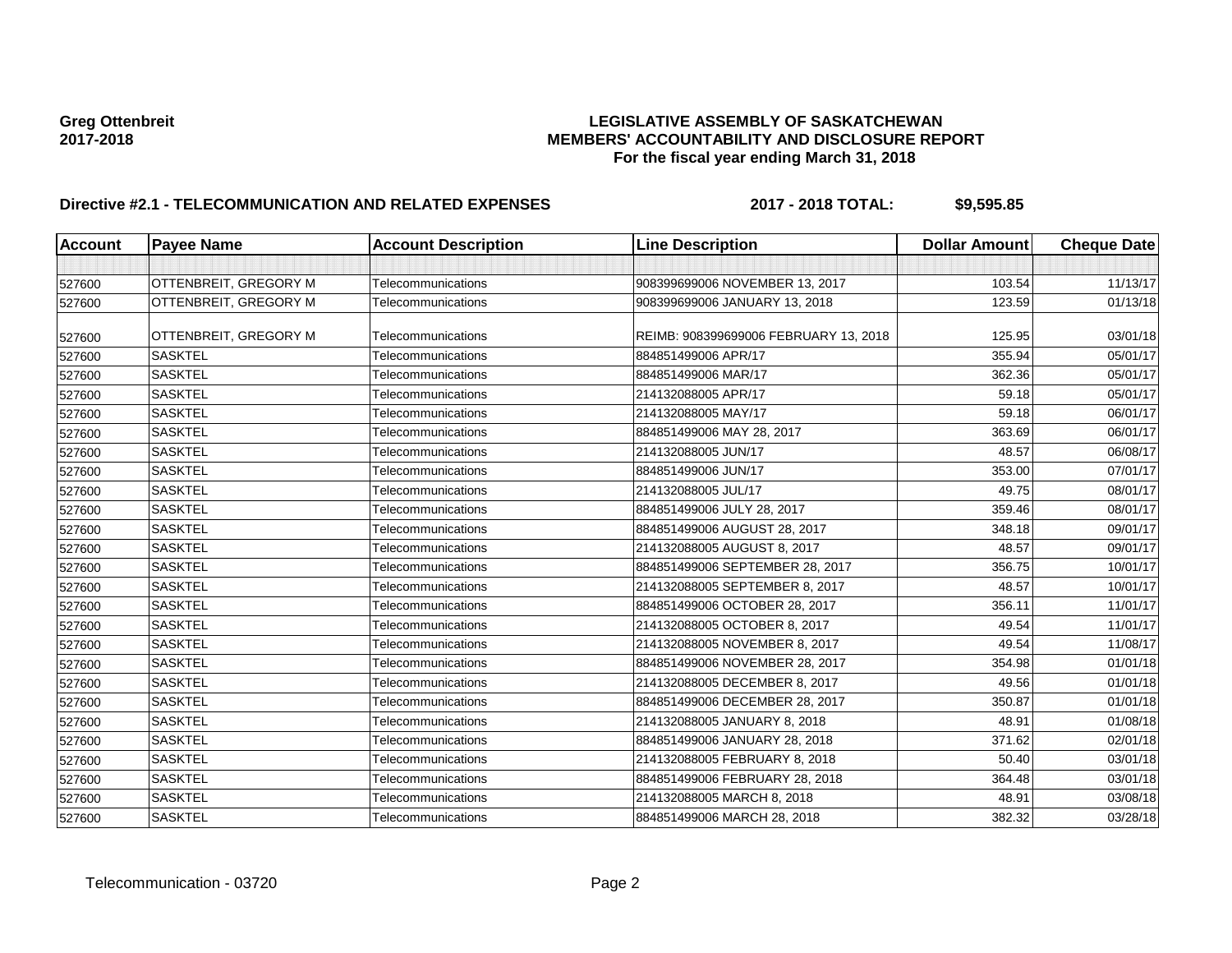# Greg Ottenbreit<br>LEGISLATIVE ASSEMBLY OF SASKATCHEWAN<br>MEMBERS' ACCOUNTABILITY AND DISCLOSURE REF **2017-2018 MEMBERS' ACCOUNTABILITY AND DISCLOSURE REPORT For the fiscal year ending March 31, 2018**

# **Directive #2.1 - TELECOMMUNICATION AND RELATED EXPENSES 2017 - 2018 TOTAL: \$9,595.85**

| <b>Account</b> | <b>Payee Name</b>     | <b>Account Description</b> | <b>Line Description</b>               | <b>Dollar Amount</b> | <b>Cheque Date</b> |
|----------------|-----------------------|----------------------------|---------------------------------------|----------------------|--------------------|
|                |                       |                            |                                       |                      |                    |
| 527600         | OTTENBREIT, GREGORY M | Telecommunications         | 908399699006 NOVEMBER 13, 2017        | 103.54               | 11/13/17           |
| 527600         | OTTENBREIT, GREGORY M | Telecommunications         | 908399699006 JANUARY 13, 2018         | 123.59               | 01/13/18           |
| 527600         | OTTENBREIT, GREGORY M | Telecommunications         | REIMB: 908399699006 FEBRUARY 13, 2018 | 125.95               | 03/01/18           |
| 527600         | <b>SASKTEL</b>        | Telecommunications         | 884851499006 APR/17                   | 355.94               | 05/01/17           |
| 527600         | <b>SASKTEL</b>        | Telecommunications         | 884851499006 MAR/17                   | 362.36               | 05/01/17           |
| 527600         | SASKTEL               | Telecommunications         | 214132088005 APR/17                   | 59.18                | 05/01/17           |
| 527600         | <b>SASKTEL</b>        | Telecommunications         | 214132088005 MAY/17                   | 59.18                | 06/01/17           |
| 527600         | <b>SASKTEL</b>        | Telecommunications         | 884851499006 MAY 28, 2017             | 363.69               | 06/01/17           |
| 527600         | <b>SASKTEL</b>        | Telecommunications         | 214132088005 JUN/17                   | 48.57                | 06/08/17           |
| 527600         | <b>SASKTEL</b>        | Telecommunications         | 884851499006 JUN/17                   | 353.00               | 07/01/17           |
| 527600         | <b>SASKTEL</b>        | Telecommunications         | 214132088005 JUL/17                   | 49.75                | 08/01/17           |
| 527600         | <b>SASKTEL</b>        | Telecommunications         | 884851499006 JULY 28, 2017            | 359.46               | 08/01/17           |
| 527600         | <b>SASKTEL</b>        | Telecommunications         | 884851499006 AUGUST 28, 2017          | 348.18               | 09/01/17           |
| 527600         | <b>SASKTEL</b>        | Telecommunications         | 214132088005 AUGUST 8, 2017           | 48.57                | 09/01/17           |
| 527600         | <b>SASKTEL</b>        | Telecommunications         | 884851499006 SEPTEMBER 28, 2017       | 356.75               | 10/01/17           |
| 527600         | <b>SASKTEL</b>        | Telecommunications         | 214132088005 SEPTEMBER 8, 2017        | 48.57                | 10/01/17           |
| 527600         | <b>SASKTEL</b>        | Telecommunications         | 884851499006 OCTOBER 28, 2017         | 356.11               | 11/01/17           |
| 527600         | <b>SASKTEL</b>        | Telecommunications         | 214132088005 OCTOBER 8, 2017          | 49.54                | 11/01/17           |
| 527600         | <b>SASKTEL</b>        | Telecommunications         | 214132088005 NOVEMBER 8, 2017         | 49.54                | 11/08/17           |
| 527600         | <b>SASKTEL</b>        | Telecommunications         | 884851499006 NOVEMBER 28, 2017        | 354.98               | 01/01/18           |
| 527600         | <b>SASKTEL</b>        | Telecommunications         | 214132088005 DECEMBER 8, 2017         | 49.56                | 01/01/18           |
| 527600         | <b>SASKTEL</b>        | Telecommunications         | 884851499006 DECEMBER 28, 2017        | 350.87               | 01/01/18           |
| 527600         | <b>SASKTEL</b>        | Telecommunications         | 214132088005 JANUARY 8, 2018          | 48.91                | 01/08/18           |
| 527600         | <b>SASKTEL</b>        | Telecommunications         | 884851499006 JANUARY 28, 2018         | 371.62               | 02/01/18           |
| 527600         | <b>SASKTEL</b>        | Telecommunications         | 214132088005 FEBRUARY 8, 2018         | 50.40                | 03/01/18           |
| 527600         | <b>SASKTEL</b>        | Telecommunications         | 884851499006 FEBRUARY 28, 2018        | 364.48               | 03/01/18           |
| 527600         | <b>SASKTEL</b>        | Telecommunications         | 214132088005 MARCH 8, 2018            | 48.91                | 03/08/18           |
| 527600         | <b>SASKTEL</b>        | Telecommunications         | 884851499006 MARCH 28, 2018           | 382.32               | 03/28/18           |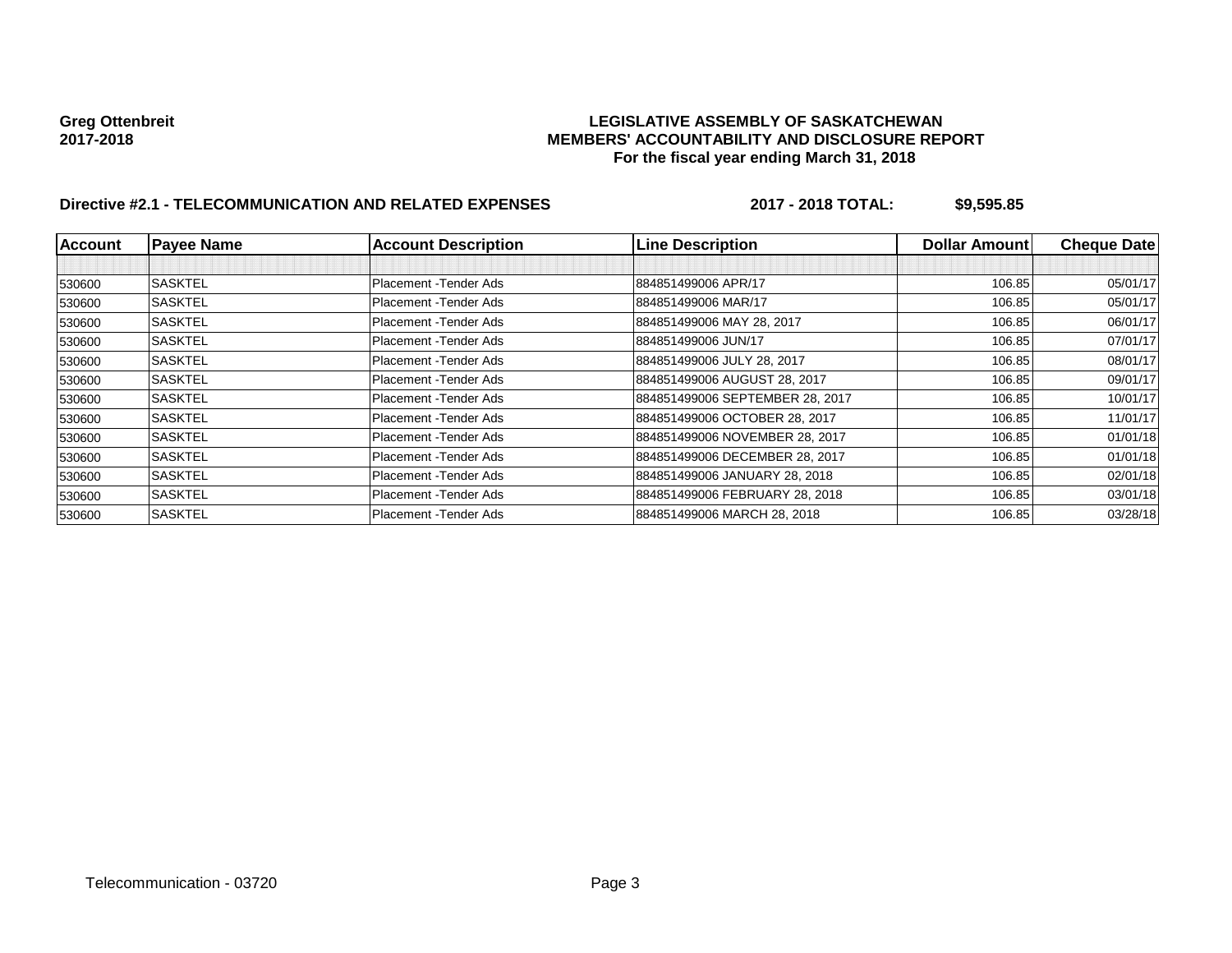# Greg Ottenbreit<br>LEGISLATIVE ASSEMBLY OF SASKATCHEWAN<br>MEMBERS' ACCOUNTABILITY AND DISCLOSURE REF **2017-2018 MEMBERS' ACCOUNTABILITY AND DISCLOSURE REPORT For the fiscal year ending March 31, 2018**

# **Directive #2.1 - TELECOMMUNICATION AND RELATED EXPENSES 2017 - 2018 TOTAL: \$9,595.85**

| <b>Account</b> | <b>Payee Name</b> | <b>Account Description</b> | <b>Line Description</b>         | <b>Dollar Amountl</b> | <b>Cheque Date</b> |
|----------------|-------------------|----------------------------|---------------------------------|-----------------------|--------------------|
|                |                   |                            |                                 |                       |                    |
| 530600         | <b>SASKTEL</b>    | Placement - Tender Ads     | 884851499006 APR/17             | 106.85                | 05/01/17           |
| 530600         | <b>SASKTEL</b>    | Placement - Tender Ads     | 884851499006 MAR/17             | 106.85                | 05/01/17           |
| 530600         | <b>SASKTEL</b>    | Placement - Tender Ads     | 884851499006 MAY 28, 2017       | 106.85                | 06/01/17           |
| 530600         | <b>SASKTEL</b>    | Placement - Tender Ads     | 884851499006 JUN/17             | 106.85                | 07/01/17           |
| 530600         | <b>SASKTEL</b>    | Placement - Tender Ads     | 884851499006 JULY 28, 2017      | 106.85                | 08/01/17           |
| 530600         | <b>SASKTEL</b>    | Placement - Tender Ads     | 884851499006 AUGUST 28, 2017    | 106.85                | 09/01/17           |
| 530600         | <b>SASKTEL</b>    | Placement - Tender Ads     | 884851499006 SEPTEMBER 28, 2017 | 106.85                | 10/01/17           |
| 530600         | <b>SASKTEL</b>    | Placement - Tender Ads     | 884851499006 OCTOBER 28, 2017   | 106.85                | 11/01/17           |
| 530600         | <b>SASKTEL</b>    | Placement - Tender Ads     | 884851499006 NOVEMBER 28, 2017  | 106.85                | 01/01/18           |
| 530600         | <b>SASKTEL</b>    | Placement - Tender Ads     | 884851499006 DECEMBER 28, 2017  | 106.85                | 01/01/18           |
| 530600         | <b>SASKTEL</b>    | Placement - Tender Ads     | 884851499006 JANUARY 28, 2018   | 106.85                | 02/01/18           |
| 530600         | <b>SASKTEL</b>    | Placement - Tender Ads     | 884851499006 FEBRUARY 28, 2018  | 106.85                | 03/01/18           |
| 530600         | <b>SASKTEL</b>    | Placement - Tender Ads     | 884851499006 MARCH 28, 2018     | 106.85                | 03/28/18           |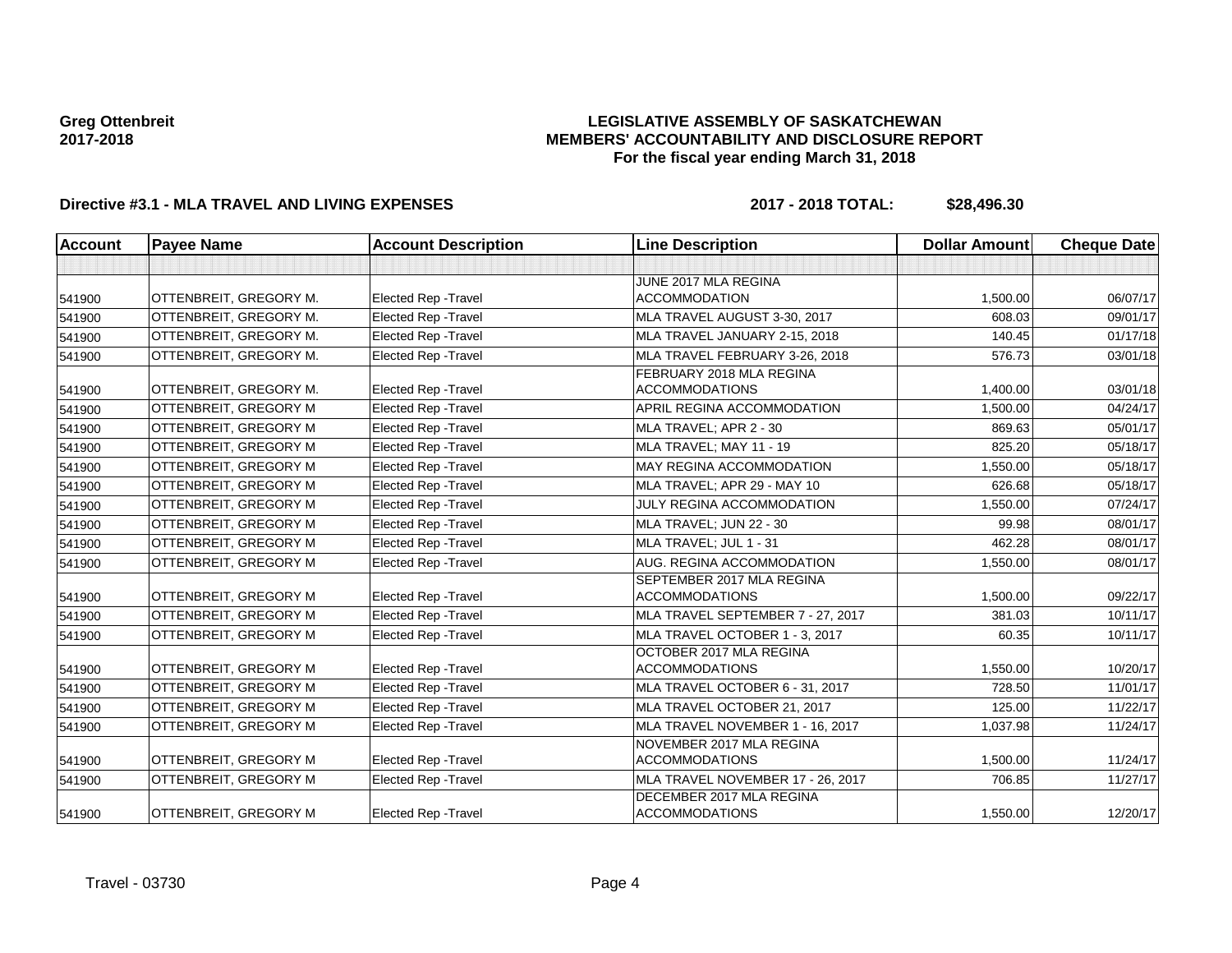### **LEGISLATIVE ASSEMBLY OF SASKATCHEWAN MEMBERS' ACCOUNTABILITY AND DISCLOSURE REPORT For the fiscal year ending March 31, 2018**

# **Directive #3.1 - MLA TRAVEL AND LIVING EXPENSES 2017 - 2018 TOTAL: \$28,496.30**

| <b>Account</b> | <b>Payee Name</b>      | <b>Account Description</b>  | <b>Line Description</b>                           | <b>Dollar Amount</b> | <b>Cheque Date</b> |
|----------------|------------------------|-----------------------------|---------------------------------------------------|----------------------|--------------------|
|                |                        |                             |                                                   |                      |                    |
|                |                        |                             | JUNE 2017 MLA REGINA                              |                      |                    |
| 541900         | OTTENBREIT, GREGORY M. | <b>Elected Rep - Travel</b> | <b>ACCOMMODATION</b>                              | 1,500.00             | 06/07/17           |
| 541900         | OTTENBREIT, GREGORY M. | <b>Elected Rep - Travel</b> | MLA TRAVEL AUGUST 3-30, 2017                      | 608.03               | 09/01/17           |
| 541900         | OTTENBREIT, GREGORY M. | <b>Elected Rep - Travel</b> | MLA TRAVEL JANUARY 2-15, 2018                     | 140.45               | 01/17/18           |
| 541900         | OTTENBREIT, GREGORY M. | <b>Elected Rep - Travel</b> | MLA TRAVEL FEBRUARY 3-26, 2018                    | 576.73               | 03/01/18           |
|                |                        |                             | FEBRUARY 2018 MLA REGINA                          |                      |                    |
| 541900         | OTTENBREIT, GREGORY M. | <b>Elected Rep - Travel</b> | <b>ACCOMMODATIONS</b>                             | 1,400.00             | 03/01/18           |
| 541900         | OTTENBREIT, GREGORY M  | <b>Elected Rep - Travel</b> | APRIL REGINA ACCOMMODATION                        | 1,500.00             | 04/24/17           |
| 541900         | OTTENBREIT, GREGORY M  | <b>Elected Rep - Travel</b> | MLA TRAVEL; APR 2 - 30                            | 869.63               | 05/01/17           |
| 541900         | OTTENBREIT, GREGORY M  | <b>Elected Rep - Travel</b> | MLA TRAVEL; MAY 11 - 19                           | 825.20               | 05/18/17           |
| 541900         | OTTENBREIT, GREGORY M  | Elected Rep - Travel        | <b>MAY REGINA ACCOMMODATION</b>                   | 1,550.00             | 05/18/17           |
| 541900         | OTTENBREIT, GREGORY M  | <b>Elected Rep - Travel</b> | MLA TRAVEL; APR 29 - MAY 10                       | 626.68               | 05/18/17           |
| 541900         | OTTENBREIT, GREGORY M  | <b>Elected Rep - Travel</b> | JULY REGINA ACCOMMODATION                         | 1,550.00             | 07/24/17           |
| 541900         | OTTENBREIT, GREGORY M  | <b>Elected Rep - Travel</b> | MLA TRAVEL; JUN 22 - 30                           | 99.98                | 08/01/17           |
| 541900         | OTTENBREIT, GREGORY M  | <b>Elected Rep - Travel</b> | MLA TRAVEL: JUL 1 - 31                            | 462.28               | 08/01/17           |
| 541900         | OTTENBREIT, GREGORY M  | Elected Rep - Travel        | AUG. REGINA ACCOMMODATION                         | 1,550.00             | 08/01/17           |
|                |                        |                             | SEPTEMBER 2017 MLA REGINA                         |                      |                    |
| 541900         | OTTENBREIT, GREGORY M  | <b>Elected Rep - Travel</b> | <b>ACCOMMODATIONS</b>                             | 1.500.00             | 09/22/17           |
| 541900         | OTTENBREIT, GREGORY M  | <b>Elected Rep - Travel</b> | MLA TRAVEL SEPTEMBER 7 - 27, 2017                 | 381.03               | 10/11/17           |
| 541900         | OTTENBREIT, GREGORY M  | <b>Elected Rep - Travel</b> | MLA TRAVEL OCTOBER 1 - 3, 2017                    | 60.35                | 10/11/17           |
|                |                        |                             | OCTOBER 2017 MLA REGINA                           |                      |                    |
| 541900         | OTTENBREIT, GREGORY M  | <b>Elected Rep - Travel</b> | <b>ACCOMMODATIONS</b>                             | 1,550.00             | 10/20/17           |
| 541900         | OTTENBREIT, GREGORY M  | Elected Rep - Travel        | MLA TRAVEL OCTOBER 6 - 31, 2017                   | 728.50               | 11/01/17           |
| 541900         | OTTENBREIT, GREGORY M  | <b>Elected Rep - Travel</b> | MLA TRAVEL OCTOBER 21, 2017                       | 125.00               | 11/22/17           |
| 541900         | OTTENBREIT, GREGORY M  | <b>Elected Rep - Travel</b> | MLA TRAVEL NOVEMBER 1 - 16, 2017                  | 1,037.98             | 11/24/17           |
|                |                        |                             | NOVEMBER 2017 MLA REGINA                          |                      |                    |
| 541900         | OTTENBREIT, GREGORY M  | Elected Rep - Travel        | <b>ACCOMMODATIONS</b>                             | 1,500.00             | 11/24/17           |
| 541900         | OTTENBREIT, GREGORY M  | Elected Rep - Travel        | MLA TRAVEL NOVEMBER 17 - 26, 2017                 | 706.85               | 11/27/17           |
| 541900         | OTTENBREIT, GREGORY M  | Elected Rep - Travel        | DECEMBER 2017 MLA REGINA<br><b>ACCOMMODATIONS</b> | 1,550.00             | 12/20/17           |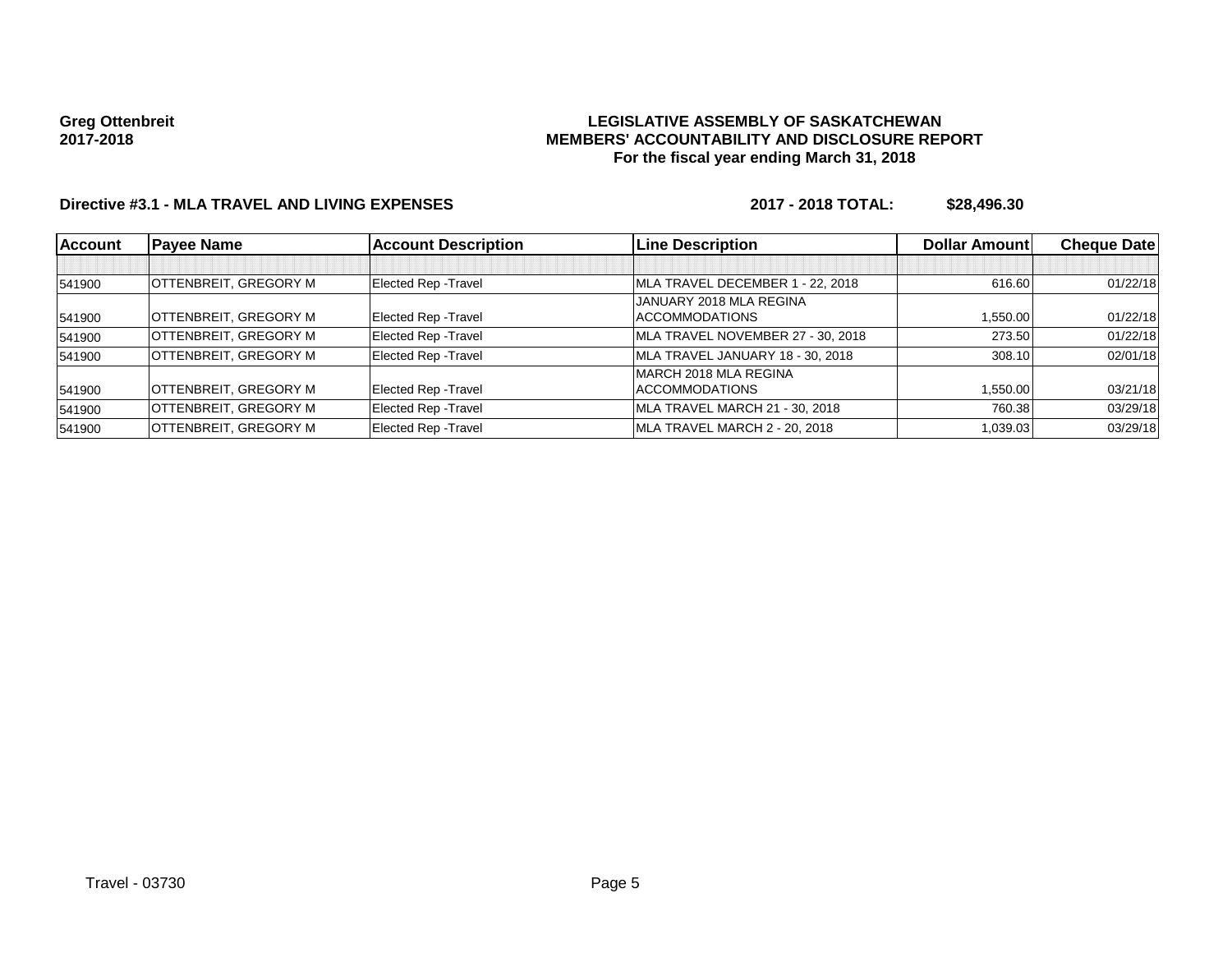### **LEGISLATIVE ASSEMBLY OF SASKATCHEWAN MEMBERS' ACCOUNTABILITY AND DISCLOSURE REPORT For the fiscal year ending March 31, 2018**

# **Directive #3.1 - MLA TRAVEL AND LIVING EXPENSES 2017 - 2018 TOTAL: \$28,496.30**

| <b>Account</b> | <b>Payee Name</b>            | <b>Account Description</b>  | <b>Line Description</b>           | <b>Dollar Amountl</b> | <b>Cheque Date</b> |
|----------------|------------------------------|-----------------------------|-----------------------------------|-----------------------|--------------------|
|                |                              |                             |                                   |                       |                    |
| 541900         | OTTENBREIT, GREGORY M        | Elected Rep - Travel        | MLA TRAVEL DECEMBER 1 - 22, 2018  | 616.60                | 01/22/18           |
|                |                              |                             | IJANUARY 2018 MLA REGINA          |                       |                    |
| 541900         | OTTENBREIT, GREGORY M        | Elected Rep - Travel        | <b>ACCOMMODATIONS</b>             | 1,550.00              | 01/22/18           |
| 541900         | <b>OTTENBREIT, GREGORY M</b> | <b>Elected Rep - Travel</b> | MLA TRAVEL NOVEMBER 27 - 30, 2018 | 273.50                | 01/22/18           |
| 541900         | <b>OTTENBREIT, GREGORY M</b> | Elected Rep - Travel        | MLA TRAVEL JANUARY 18 - 30, 2018  | 308.10                | 02/01/18           |
|                |                              |                             | MARCH 2018 MLA REGINA             |                       |                    |
| 541900         | OTTENBREIT, GREGORY M        | Elected Rep - Travel        | ACCOMMODATIONS                    | 1,550.00              | 03/21/18           |
| 541900         | <b>OTTENBREIT, GREGORY M</b> | Elected Rep - Travel        | MLA TRAVEL MARCH 21 - 30, 2018    | 760.38                | 03/29/18           |
| 541900         | <b>OTTENBREIT, GREGORY M</b> | Elected Rep - Travel        | MLA TRAVEL MARCH 2 - 20, 2018     | 1,039.03              | 03/29/18           |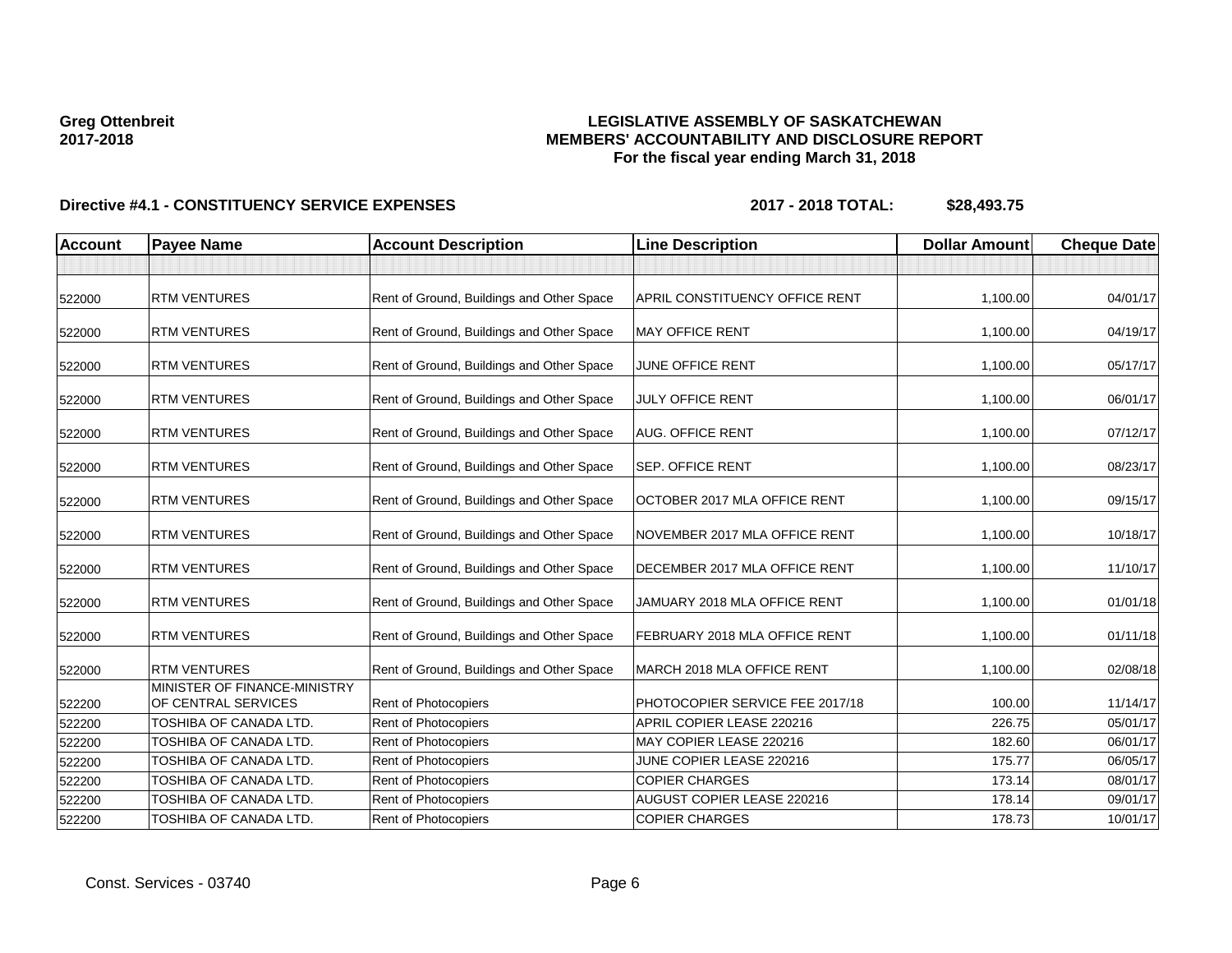### **LEGISLATIVE ASSEMBLY OF SASKATCHEWAN MEMBERS' ACCOUNTABILITY AND DISCLOSURE REPORT For the fiscal year ending March 31, 2018**

| <b>Account</b> | <b>Payee Name</b>                                   | <b>Account Description</b>                | <b>Line Description</b>               | <b>Dollar Amount</b> | <b>Cheque Date</b> |
|----------------|-----------------------------------------------------|-------------------------------------------|---------------------------------------|----------------------|--------------------|
|                |                                                     |                                           |                                       |                      |                    |
| 522000         | <b>RTM VENTURES</b>                                 | Rent of Ground, Buildings and Other Space | <b>APRIL CONSTITUENCY OFFICE RENT</b> | 1,100.00             | 04/01/17           |
| 522000         | <b>RTM VENTURES</b>                                 | Rent of Ground, Buildings and Other Space | <b>MAY OFFICE RENT</b>                | 1,100.00             | 04/19/17           |
| 522000         | <b>RTM VENTURES</b>                                 | Rent of Ground, Buildings and Other Space | JUNE OFFICE RENT                      | 1,100.00             | 05/17/17           |
| 522000         | <b>RTM VENTURES</b>                                 | Rent of Ground, Buildings and Other Space | <b>JULY OFFICE RENT</b>               | 1,100.00             | 06/01/17           |
| 522000         | <b>RTM VENTURES</b>                                 | Rent of Ground, Buildings and Other Space | <b>AUG. OFFICE RENT</b>               | 1,100.00             | 07/12/17           |
| 522000         | <b>RTM VENTURES</b>                                 | Rent of Ground, Buildings and Other Space | SEP. OFFICE RENT                      | 1,100.00             | 08/23/17           |
| 522000         | <b>RTM VENTURES</b>                                 | Rent of Ground, Buildings and Other Space | OCTOBER 2017 MLA OFFICE RENT          | 1,100.00             | 09/15/17           |
| 522000         | <b>RTM VENTURES</b>                                 | Rent of Ground, Buildings and Other Space | NOVEMBER 2017 MLA OFFICE RENT         | 1,100.00             | 10/18/17           |
| 522000         | <b>RTM VENTURES</b>                                 | Rent of Ground, Buildings and Other Space | DECEMBER 2017 MLA OFFICE RENT         | 1,100.00             | 11/10/17           |
| 522000         | <b>RTM VENTURES</b>                                 | Rent of Ground, Buildings and Other Space | JAMUARY 2018 MLA OFFICE RENT          | 1,100.00             | 01/01/18           |
| 522000         | <b>RTM VENTURES</b>                                 | Rent of Ground, Buildings and Other Space | FEBRUARY 2018 MLA OFFICE RENT         | 1,100.00             | 01/11/18           |
| 522000         | <b>RTM VENTURES</b>                                 | Rent of Ground, Buildings and Other Space | MARCH 2018 MLA OFFICE RENT            | 1,100.00             | 02/08/18           |
| 522200         | MINISTER OF FINANCE-MINISTRY<br>OF CENTRAL SERVICES | Rent of Photocopiers                      | PHOTOCOPIER SERVICE FEE 2017/18       | 100.00               | 11/14/17           |
| 522200         | TOSHIBA OF CANADA LTD.                              | Rent of Photocopiers                      | APRIL COPIER LEASE 220216             | 226.75               | 05/01/17           |
| 522200         | TOSHIBA OF CANADA LTD.                              | <b>Rent of Photocopiers</b>               | MAY COPIER LEASE 220216               | 182.60               | 06/01/17           |
| 522200         | TOSHIBA OF CANADA LTD.                              | Rent of Photocopiers                      | JUNE COPIER LEASE 220216              | 175.77               | 06/05/17           |
| 522200         | TOSHIBA OF CANADA LTD.                              | Rent of Photocopiers                      | <b>COPIER CHARGES</b>                 | 173.14               | 08/01/17           |
| 522200         | TOSHIBA OF CANADA LTD.                              | Rent of Photocopiers                      | <b>AUGUST COPIER LEASE 220216</b>     | 178.14               | 09/01/17           |
| 522200         | TOSHIBA OF CANADA LTD.                              | Rent of Photocopiers                      | <b>COPIER CHARGES</b>                 | 178.73               | 10/01/17           |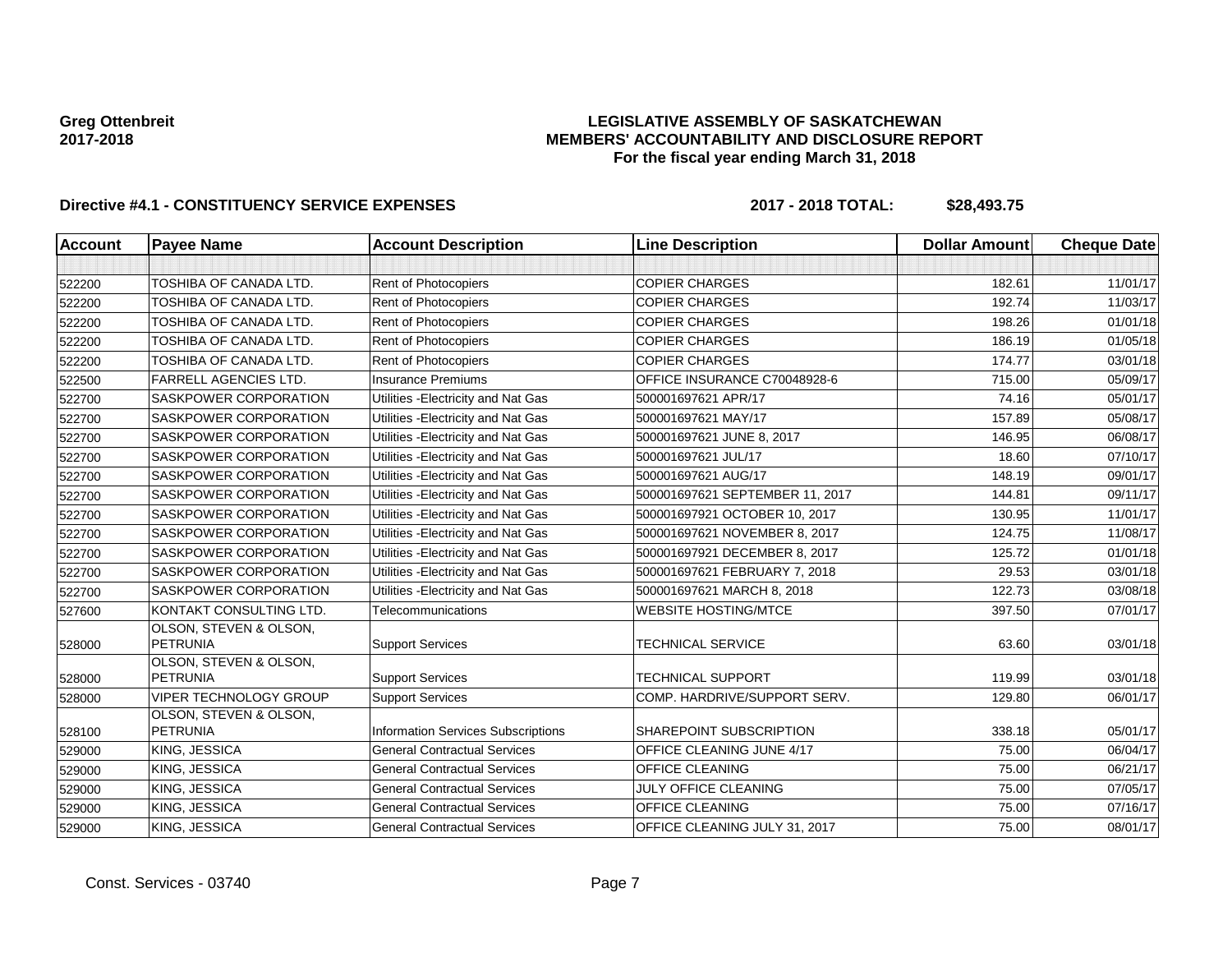### **LEGISLATIVE ASSEMBLY OF SASKATCHEWAN MEMBERS' ACCOUNTABILITY AND DISCLOSURE REPORT For the fiscal year ending March 31, 2018**

| <b>Account</b> | <b>Payee Name</b>                         | <b>Account Description</b>                | <b>Line Description</b>         | <b>Dollar Amount</b> | <b>Cheque Date</b> |
|----------------|-------------------------------------------|-------------------------------------------|---------------------------------|----------------------|--------------------|
|                |                                           |                                           |                                 |                      |                    |
| 522200         | <b>TOSHIBA OF CANADA LTD.</b>             | Rent of Photocopiers                      | <b>COPIER CHARGES</b>           | 182.61               | 11/01/17           |
| 522200         | TOSHIBA OF CANADA LTD.                    | <b>Rent of Photocopiers</b>               | <b>COPIER CHARGES</b>           | 192.74               | 11/03/17           |
| 522200         | <b>TOSHIBA OF CANADA LTD.</b>             | <b>Rent of Photocopiers</b>               | <b>COPIER CHARGES</b>           | 198.26               | 01/01/18           |
| 522200         | <b>TOSHIBA OF CANADA LTD.</b>             | Rent of Photocopiers                      | <b>COPIER CHARGES</b>           | 186.19               | 01/05/18           |
| 522200         | TOSHIBA OF CANADA LTD.                    | Rent of Photocopiers                      | <b>COPIER CHARGES</b>           | 174.77               | 03/01/18           |
| 522500         | <b>FARRELL AGENCIES LTD.</b>              | <b>Insurance Premiums</b>                 | OFFICE INSURANCE C70048928-6    | 715.00               | 05/09/17           |
| 522700         | SASKPOWER CORPORATION                     | Utilities - Electricity and Nat Gas       | 500001697621 APR/17             | 74.16                | 05/01/17           |
| 522700         | SASKPOWER CORPORATION                     | Utilities - Electricity and Nat Gas       | 500001697621 MAY/17             | 157.89               | 05/08/17           |
| 522700         | SASKPOWER CORPORATION                     | Utilities - Electricity and Nat Gas       | 500001697621 JUNE 8, 2017       | 146.95               | 06/08/17           |
| 522700         | SASKPOWER CORPORATION                     | Utilities - Electricity and Nat Gas       | 500001697621 JUL/17             | 18.60                | 07/10/17           |
| 522700         | SASKPOWER CORPORATION                     | Utilities - Electricity and Nat Gas       | 500001697621 AUG/17             | 148.19               | 09/01/17           |
| 522700         | SASKPOWER CORPORATION                     | Utilities - Electricity and Nat Gas       | 500001697621 SEPTEMBER 11, 2017 | 144.81               | 09/11/17           |
| 522700         | SASKPOWER CORPORATION                     | Utilities - Electricity and Nat Gas       | 500001697921 OCTOBER 10, 2017   | 130.95               | 11/01/17           |
| 522700         | SASKPOWER CORPORATION                     | Utilities - Electricity and Nat Gas       | 500001697621 NOVEMBER 8, 2017   | 124.75               | 11/08/17           |
| 522700         | SASKPOWER CORPORATION                     | Utilities - Electricity and Nat Gas       | 500001697921 DECEMBER 8, 2017   | 125.72               | 01/01/18           |
| 522700         | SASKPOWER CORPORATION                     | Utilities - Electricity and Nat Gas       | 500001697621 FEBRUARY 7, 2018   | 29.53                | 03/01/18           |
| 522700         | SASKPOWER CORPORATION                     | Utilities - Electricity and Nat Gas       | 500001697621 MARCH 8, 2018      | 122.73               | 03/08/18           |
| 527600         | KONTAKT CONSULTING LTD.                   | Telecommunications                        | <b>WEBSITE HOSTING/MTCE</b>     | 397.50               | 07/01/17           |
| 528000         | OLSON, STEVEN & OLSON,<br><b>PETRUNIA</b> | <b>Support Services</b>                   | <b>TECHNICAL SERVICE</b>        | 63.60                | 03/01/18           |
| 528000         | OLSON, STEVEN & OLSON,<br><b>PETRUNIA</b> | <b>Support Services</b>                   | <b>TECHNICAL SUPPORT</b>        | 119.99               | 03/01/18           |
| 528000         | <b>VIPER TECHNOLOGY GROUP</b>             | <b>Support Services</b>                   | COMP. HARDRIVE/SUPPORT SERV.    | 129.80               | 06/01/17           |
| 528100         | OLSON, STEVEN & OLSON,<br><b>PETRUNIA</b> | <b>Information Services Subscriptions</b> | SHAREPOINT SUBSCRIPTION         | 338.18               | 05/01/17           |
| 529000         | KING, JESSICA                             | <b>General Contractual Services</b>       | OFFICE CLEANING JUNE 4/17       | 75.00                | 06/04/17           |
| 529000         | KING, JESSICA                             | <b>General Contractual Services</b>       | <b>OFFICE CLEANING</b>          | 75.00                | 06/21/17           |
| 529000         | KING, JESSICA                             | <b>General Contractual Services</b>       | JULY OFFICE CLEANING            | 75.00                | 07/05/17           |
| 529000         | KING, JESSICA                             | <b>General Contractual Services</b>       | <b>OFFICE CLEANING</b>          | 75.00                | 07/16/17           |
| 529000         | KING, JESSICA                             | <b>General Contractual Services</b>       | OFFICE CLEANING JULY 31, 2017   | 75.00                | 08/01/17           |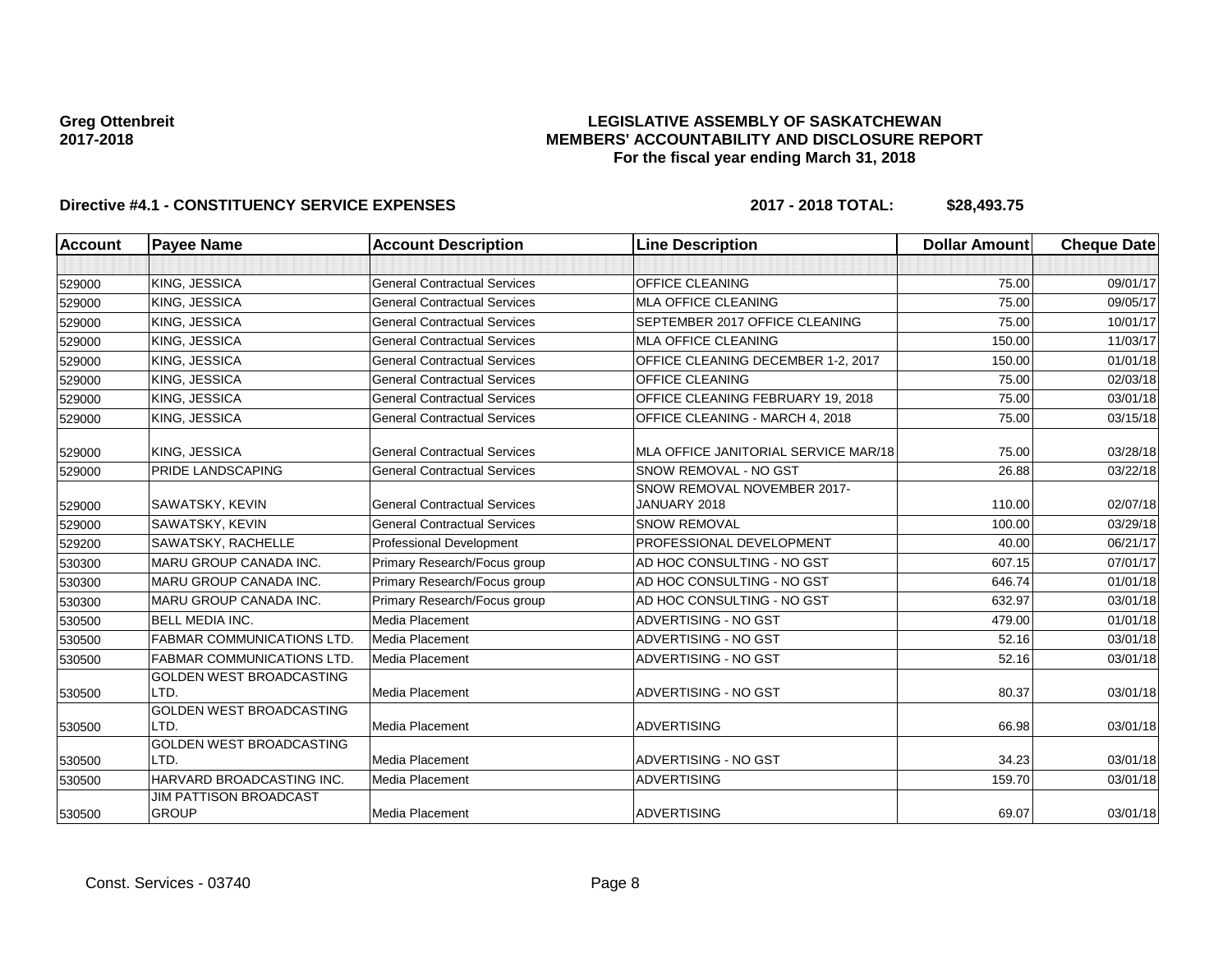### **LEGISLATIVE ASSEMBLY OF SASKATCHEWAN MEMBERS' ACCOUNTABILITY AND DISCLOSURE REPORT For the fiscal year ending March 31, 2018**

| <b>Account</b> | <b>Payee Name</b>                             | <b>Account Description</b>          | <b>Line Description</b>                     | <b>Dollar Amount</b> | <b>Cheque Date</b> |
|----------------|-----------------------------------------------|-------------------------------------|---------------------------------------------|----------------------|--------------------|
|                |                                               |                                     |                                             |                      |                    |
| 529000         | KING, JESSICA                                 | <b>General Contractual Services</b> | <b>OFFICE CLEANING</b>                      | 75.00                | 09/01/17           |
| 529000         | KING, JESSICA                                 | <b>General Contractual Services</b> | <b>MLA OFFICE CLEANING</b>                  | 75.00                | 09/05/17           |
| 529000         | KING, JESSICA                                 | <b>General Contractual Services</b> | SEPTEMBER 2017 OFFICE CLEANING              | 75.00                | 10/01/17           |
| 529000         | KING, JESSICA                                 | <b>General Contractual Services</b> | <b>MLA OFFICE CLEANING</b>                  | 150.00               | 11/03/17           |
| 529000         | KING, JESSICA                                 | <b>General Contractual Services</b> | OFFICE CLEANING DECEMBER 1-2, 2017          | 150.00               | 01/01/18           |
| 529000         | KING, JESSICA                                 | <b>General Contractual Services</b> | <b>OFFICE CLEANING</b>                      | 75.00                | 02/03/18           |
| 529000         | KING, JESSICA                                 | <b>General Contractual Services</b> | OFFICE CLEANING FEBRUARY 19, 2018           | 75.00                | 03/01/18           |
| 529000         | KING, JESSICA                                 | <b>General Contractual Services</b> | OFFICE CLEANING - MARCH 4, 2018             | 75.00                | 03/15/18           |
| 529000         | KING, JESSICA                                 | <b>General Contractual Services</b> | MLA OFFICE JANITORIAL SERVICE MAR/18        | 75.00                | 03/28/18           |
| 529000         | <b>PRIDE LANDSCAPING</b>                      | <b>General Contractual Services</b> | SNOW REMOVAL - NO GST                       | 26.88                | 03/22/18           |
| 529000         | SAWATSKY, KEVIN                               | <b>General Contractual Services</b> | SNOW REMOVAL NOVEMBER 2017-<br>JANUARY 2018 | 110.00               | 02/07/18           |
| 529000         | SAWATSKY, KEVIN                               | <b>General Contractual Services</b> | <b>SNOW REMOVAL</b>                         | 100.00               | 03/29/18           |
| 529200         | SAWATSKY, RACHELLE                            | Professional Development            | PROFESSIONAL DEVELOPMENT                    | 40.00                | 06/21/17           |
| 530300         | <b>MARU GROUP CANADA INC.</b>                 | Primary Research/Focus group        | AD HOC CONSULTING - NO GST                  | 607.15               | 07/01/17           |
| 530300         | <b>MARU GROUP CANADA INC.</b>                 | Primary Research/Focus group        | AD HOC CONSULTING - NO GST                  | 646.74               | 01/01/18           |
| 530300         | <b>MARU GROUP CANADA INC.</b>                 | Primary Research/Focus group        | AD HOC CONSULTING - NO GST                  | 632.97               | 03/01/18           |
| 530500         | <b>BELL MEDIA INC.</b>                        | Media Placement                     | ADVERTISING - NO GST                        | 479.00               | 01/01/18           |
| 530500         | <b>FABMAR COMMUNICATIONS LTD</b>              | Media Placement                     | <b>ADVERTISING - NO GST</b>                 | 52.16                | 03/01/18           |
| 530500         | <b>FABMAR COMMUNICATIONS LTD</b>              | <b>Media Placement</b>              | ADVERTISING - NO GST                        | 52.16                | 03/01/18           |
| 530500         | GOLDEN WEST BROADCASTING<br>LTD.              | <b>Media Placement</b>              | ADVERTISING - NO GST                        | 80.37                | 03/01/18           |
| 530500         | GOLDEN WEST BROADCASTING<br>LTD.              | <b>Media Placement</b>              | <b>ADVERTISING</b>                          | 66.98                | 03/01/18           |
|                | GOLDEN WEST BROADCASTING                      |                                     |                                             |                      |                    |
| 530500         | LTD.                                          | <b>Media Placement</b>              | ADVERTISING - NO GST                        | 34.23                | 03/01/18           |
| 530500         | HARVARD BROADCASTING INC.                     | <b>Media Placement</b>              | <b>ADVERTISING</b>                          | 159.70               | 03/01/18           |
| 530500         | <b>JIM PATTISON BROADCAST</b><br><b>GROUP</b> | Media Placement                     | <b>ADVERTISING</b>                          | 69.07                | 03/01/18           |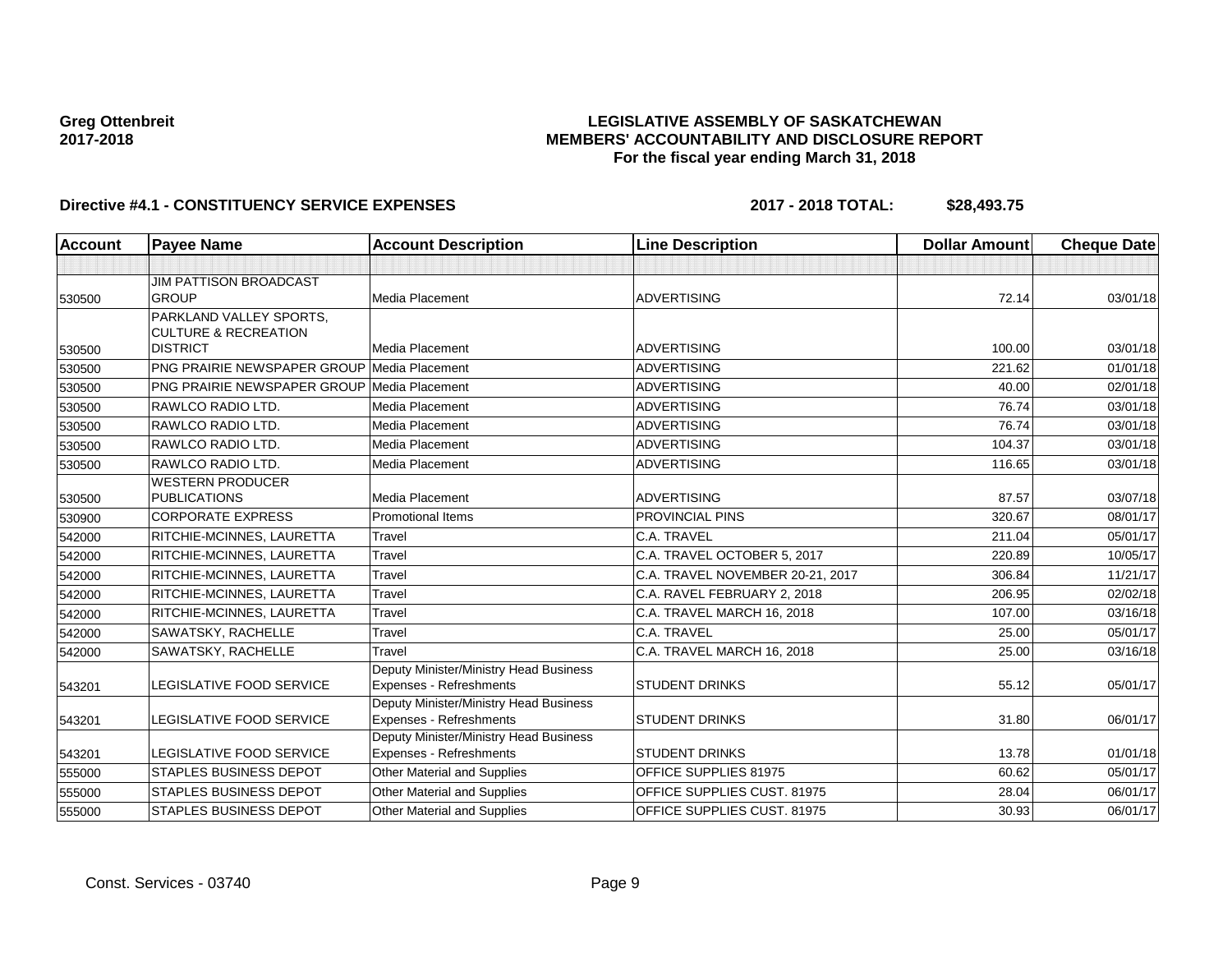## **LEGISLATIVE ASSEMBLY OF SASKATCHEWAN MEMBERS' ACCOUNTABILITY AND DISCLOSURE REPORT For the fiscal year ending March 31, 2018**

| Account | <b>Payee Name</b>                                          | <b>Account Description</b>                                        | <b>Line Description</b>          | <b>Dollar Amount</b> | <b>Cheque Date</b> |
|---------|------------------------------------------------------------|-------------------------------------------------------------------|----------------------------------|----------------------|--------------------|
|         |                                                            |                                                                   |                                  |                      |                    |
| 530500  | JIM PATTISON BROADCAST<br><b>GROUP</b>                     | Media Placement                                                   | <b>ADVERTISING</b>               | 72.14                | 03/01/18           |
|         | PARKLAND VALLEY SPORTS,<br><b>CULTURE &amp; RECREATION</b> |                                                                   |                                  |                      |                    |
| 530500  | <b>DISTRICT</b>                                            | Media Placement                                                   | <b>ADVERTISING</b>               | 100.00               | 03/01/18           |
| 530500  | PNG PRAIRIE NEWSPAPER GROUP Media Placement                |                                                                   | <b>ADVERTISING</b>               | 221.62               | 01/01/18           |
| 530500  | <b>PNG PRAIRIE NEWSPAPER GROUP Media Placement</b>         |                                                                   | <b>ADVERTISING</b>               | 40.00                | 02/01/18           |
| 530500  | RAWLCO RADIO LTD.                                          | Media Placement                                                   | <b>ADVERTISING</b>               | 76.74                | 03/01/18           |
| 530500  | RAWLCO RADIO LTD.                                          | <b>Media Placement</b>                                            | <b>ADVERTISING</b>               | 76.74                | 03/01/18           |
| 530500  | RAWLCO RADIO LTD.                                          | Media Placement                                                   | <b>ADVERTISING</b>               | 104.37               | 03/01/18           |
| 530500  | RAWLCO RADIO LTD.                                          | Media Placement                                                   | <b>ADVERTISING</b>               | 116.65               | 03/01/18           |
|         | <b>WESTERN PRODUCER</b>                                    |                                                                   |                                  |                      |                    |
| 530500  | <b>PUBLICATIONS</b>                                        | Media Placement                                                   | <b>ADVERTISING</b>               | 87.57                | 03/07/18           |
| 530900  | <b>CORPORATE EXPRESS</b>                                   | <b>Promotional Items</b>                                          | <b>PROVINCIAL PINS</b>           | 320.67               | 08/01/17           |
| 542000  | RITCHIE-MCINNES, LAURETTA                                  | Travel                                                            | C.A. TRAVEL                      | 211.04               | 05/01/17           |
| 542000  | RITCHIE-MCINNES, LAURETTA                                  | Travel                                                            | C.A. TRAVEL OCTOBER 5, 2017      | 220.89               | 10/05/17           |
| 542000  | RITCHIE-MCINNES, LAURETTA                                  | Travel                                                            | C.A. TRAVEL NOVEMBER 20-21, 2017 | 306.84               | 11/21/17           |
| 542000  | RITCHIE-MCINNES, LAURETTA                                  | Travel                                                            | C.A. RAVEL FEBRUARY 2, 2018      | 206.95               | 02/02/18           |
| 542000  | RITCHIE-MCINNES, LAURETTA                                  | Travel                                                            | C.A. TRAVEL MARCH 16, 2018       | 107.00               | 03/16/18           |
| 542000  | SAWATSKY, RACHELLE                                         | Travel                                                            | C.A. TRAVEL                      | 25.00                | 05/01/17           |
| 542000  | SAWATSKY, RACHELLE                                         | Travel                                                            | C.A. TRAVEL MARCH 16, 2018       | 25.00                | 03/16/18           |
| 543201  | LEGISLATIVE FOOD SERVICE                                   | Deputy Minister/Ministry Head Business<br>Expenses - Refreshments | <b>STUDENT DRINKS</b>            | 55.12                | 05/01/17           |
| 543201  | LEGISLATIVE FOOD SERVICE                                   | Deputy Minister/Ministry Head Business<br>Expenses - Refreshments | <b>STUDENT DRINKS</b>            | 31.80                | 06/01/17           |
| 543201  | LEGISLATIVE FOOD SERVICE                                   | Deputy Minister/Ministry Head Business<br>Expenses - Refreshments | <b>STUDENT DRINKS</b>            | 13.78                | 01/01/18           |
| 555000  | STAPLES BUSINESS DEPOT                                     | Other Material and Supplies                                       | OFFICE SUPPLIES 81975            | 60.62                | 05/01/17           |
| 555000  | <b>STAPLES BUSINESS DEPOT</b>                              | Other Material and Supplies                                       | OFFICE SUPPLIES CUST, 81975      | 28.04                | 06/01/17           |
| 555000  | <b>STAPLES BUSINESS DEPOT</b>                              | Other Material and Supplies                                       | OFFICE SUPPLIES CUST. 81975      | 30.93                | 06/01/17           |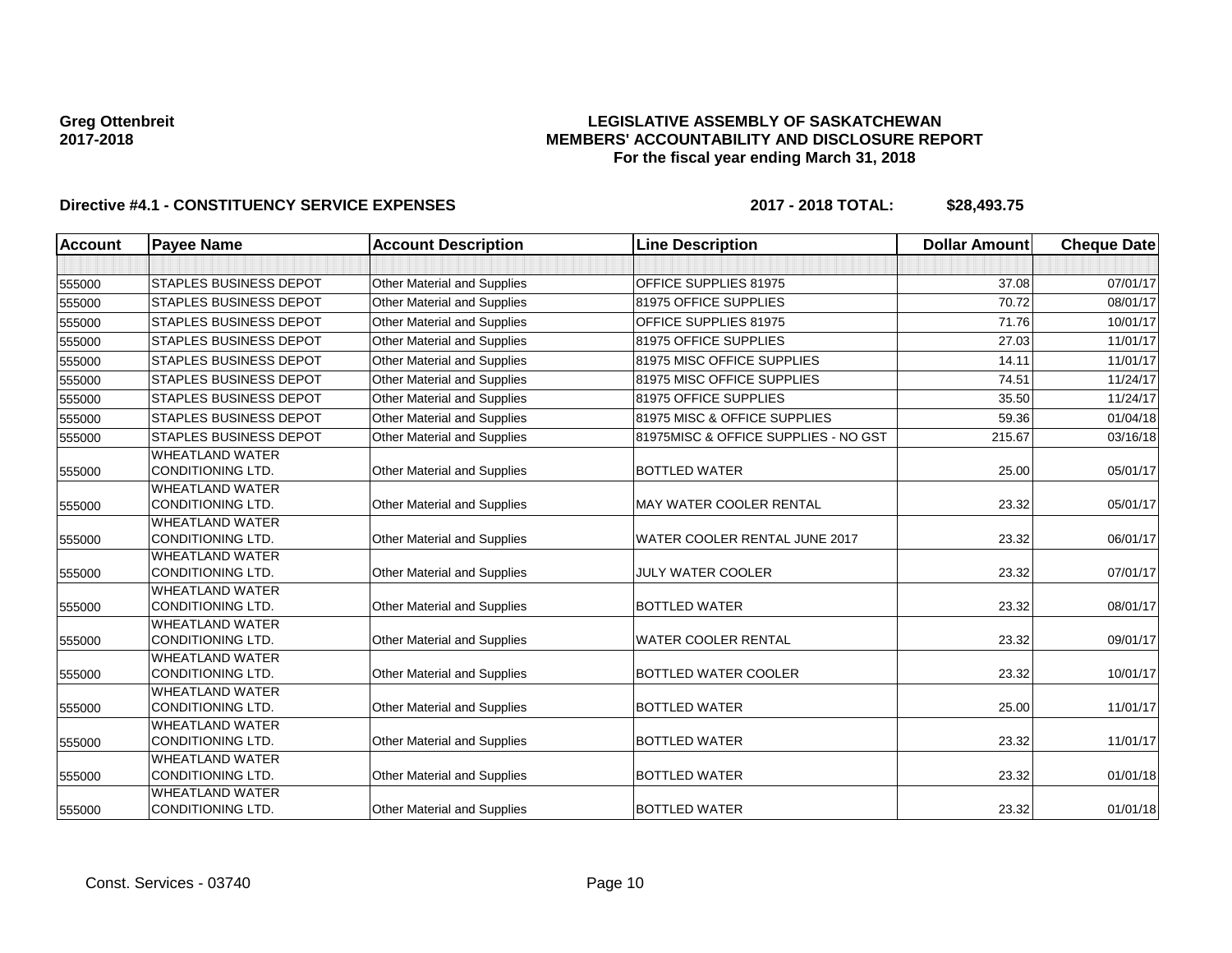### **LEGISLATIVE ASSEMBLY OF SASKATCHEWAN MEMBERS' ACCOUNTABILITY AND DISCLOSURE REPORT For the fiscal year ending March 31, 2018**

| <b>Account</b> | <b>Payee Name</b>                                  | <b>Account Description</b>         | <b>Line Description</b>              | <b>Dollar Amount</b> | <b>Cheque Date</b> |
|----------------|----------------------------------------------------|------------------------------------|--------------------------------------|----------------------|--------------------|
|                |                                                    |                                    |                                      |                      |                    |
| 555000         | <b>STAPLES BUSINESS DEPOT</b>                      | Other Material and Supplies        | OFFICE SUPPLIES 81975                | 37.08                | 07/01/17           |
| 555000         | <b>STAPLES BUSINESS DEPOT</b>                      | Other Material and Supplies        | 81975 OFFICE SUPPLIES                | 70.72                | 08/01/17           |
| 555000         | <b>STAPLES BUSINESS DEPOT</b>                      | Other Material and Supplies        | OFFICE SUPPLIES 81975                | 71.76                | 10/01/17           |
| 555000         | <b>STAPLES BUSINESS DEPOT</b>                      | Other Material and Supplies        | 81975 OFFICE SUPPLIES                | 27.03                | 11/01/17           |
| 555000         | <b>STAPLES BUSINESS DEPOT</b>                      | Other Material and Supplies        | 81975 MISC OFFICE SUPPLIES           | 14.11                | 11/01/17           |
| 555000         | <b>STAPLES BUSINESS DEPOT</b>                      | <b>Other Material and Supplies</b> | 81975 MISC OFFICE SUPPLIES           | 74.51                | 11/24/17           |
| 555000         | STAPLES BUSINESS DEPOT                             | Other Material and Supplies        | 81975 OFFICE SUPPLIES                | 35.50                | 11/24/17           |
| 555000         | <b>STAPLES BUSINESS DEPOT</b>                      | <b>Other Material and Supplies</b> | 81975 MISC & OFFICE SUPPLIES         | 59.36                | 01/04/18           |
| 555000         | <b>STAPLES BUSINESS DEPOT</b>                      | Other Material and Supplies        | 81975MISC & OFFICE SUPPLIES - NO GST | 215.67               | 03/16/18           |
| 555000         | <b>WHEATLAND WATER</b><br><b>CONDITIONING LTD.</b> | Other Material and Supplies        | <b>BOTTLED WATER</b>                 | 25.00                | 05/01/17           |
| 555000         | <b>WHEATLAND WATER</b><br><b>CONDITIONING LTD.</b> | Other Material and Supplies        | <b>MAY WATER COOLER RENTAL</b>       | 23.32                | 05/01/17           |
| 555000         | <b>WHEATLAND WATER</b><br><b>CONDITIONING LTD.</b> | Other Material and Supplies        | WATER COOLER RENTAL JUNE 2017        | 23.32                | 06/01/17           |
| 555000         | <b>WHEATLAND WATER</b><br>CONDITIONING LTD.        | Other Material and Supplies        | <b>JULY WATER COOLER</b>             | 23.32                | 07/01/17           |
| 555000         | <b>WHEATLAND WATER</b><br><b>CONDITIONING LTD.</b> | Other Material and Supplies        | <b>BOTTLED WATER</b>                 | 23.32                | 08/01/17           |
| 555000         | <b>WHEATLAND WATER</b><br><b>CONDITIONING LTD.</b> | Other Material and Supplies        | <b>WATER COOLER RENTAL</b>           | 23.32                | 09/01/17           |
| 555000         | <b>WHEATLAND WATER</b><br>CONDITIONING LTD.        | Other Material and Supplies        | BOTTLED WATER COOLER                 | 23.32                | 10/01/17           |
| 555000         | <b>WHEATLAND WATER</b><br>CONDITIONING LTD.        | Other Material and Supplies        | <b>BOTTLED WATER</b>                 | 25.00                | 11/01/17           |
| 555000         | <b>WHEATLAND WATER</b><br><b>CONDITIONING LTD.</b> | Other Material and Supplies        | <b>BOTTLED WATER</b>                 | 23.32                | 11/01/17           |
| 555000         | <b>WHEATLAND WATER</b><br><b>CONDITIONING LTD.</b> | Other Material and Supplies        | <b>BOTTLED WATER</b>                 | 23.32                | 01/01/18           |
| 555000         | <b>WHEATLAND WATER</b><br>CONDITIONING LTD.        | <b>Other Material and Supplies</b> | <b>BOTTLED WATER</b>                 | 23.32                | 01/01/18           |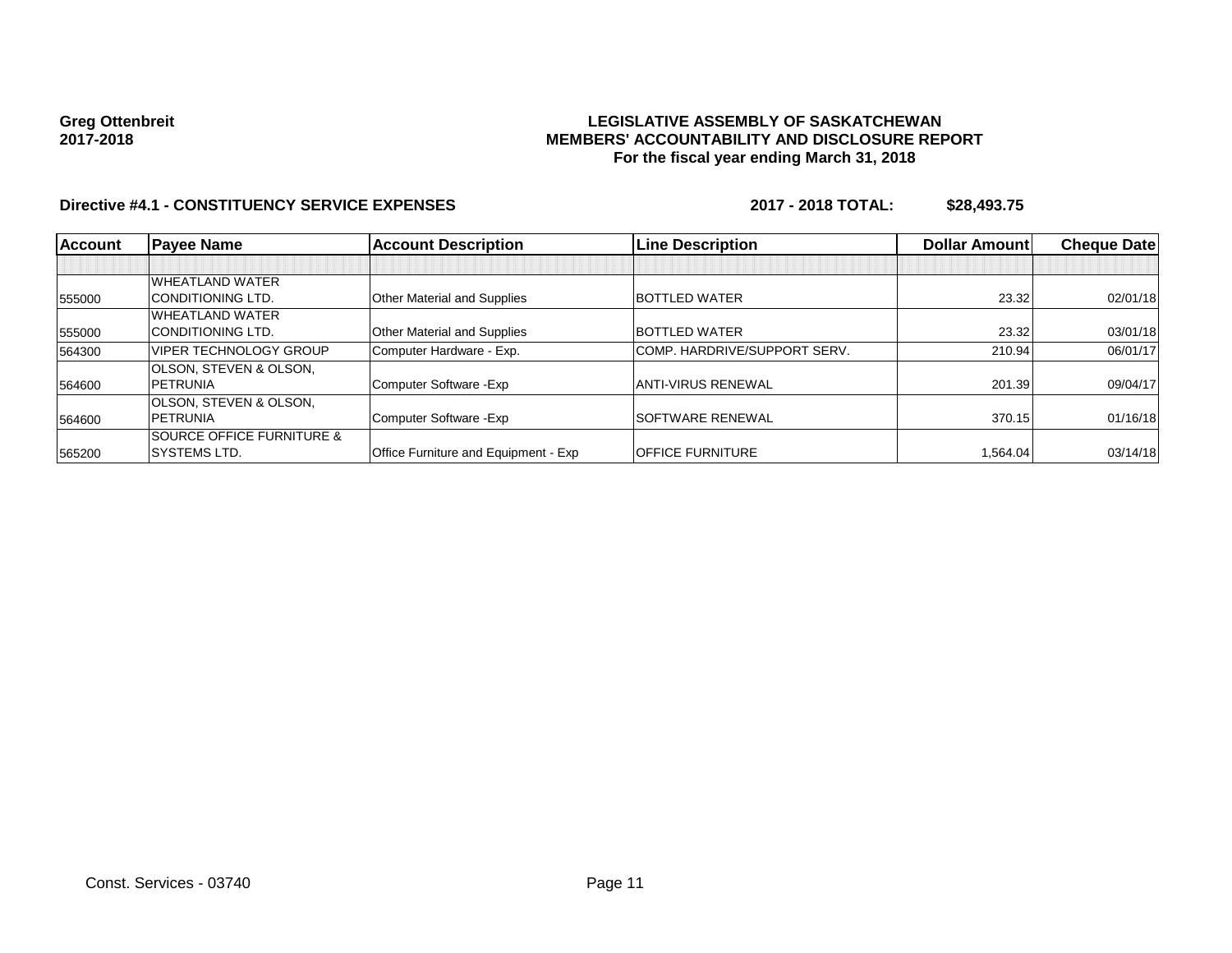### **LEGISLATIVE ASSEMBLY OF SASKATCHEWAN MEMBERS' ACCOUNTABILITY AND DISCLOSURE REPORT For the fiscal year ending March 31, 2018**

| Account | <b>Payee Name</b>                    | <b>Account Description</b>           | <b>Line Description</b>      | <b>Dollar Amountl</b> | <b>Cheque Datel</b> |
|---------|--------------------------------------|--------------------------------------|------------------------------|-----------------------|---------------------|
|         |                                      |                                      |                              |                       |                     |
|         | <b>WHEATLAND WATER</b>               |                                      |                              |                       |                     |
| 555000  | <b>CONDITIONING LTD.</b>             | Other Material and Supplies          | <b>BOTTLED WATER</b>         | 23.32                 | 02/01/18            |
|         | <b>WHEATLAND WATER</b>               |                                      |                              |                       |                     |
| 555000  | <b>CONDITIONING LTD.</b>             | Other Material and Supplies          | <b>BOTTLED WATER</b>         | 23.32                 | 03/01/18            |
| 564300  | <b>IVIPER TECHNOLOGY GROUP</b>       | Computer Hardware - Exp.             | COMP. HARDRIVE/SUPPORT SERV. | 210.94                | 06/01/17            |
|         | <b>OLSON. STEVEN &amp; OLSON.</b>    |                                      |                              |                       |                     |
| 564600  | <b>IPETRUNIA</b>                     | Computer Software - Exp              | ANTI-VIRUS RENEWAL           | 201.39                | 09/04/17            |
|         | <b>OLSON, STEVEN &amp; OLSON,</b>    |                                      |                              |                       |                     |
| 564600  | <b>IPETRUNIA</b>                     | Computer Software - Exp              | <b>SOFTWARE RENEWAL</b>      | 370.15                | 01/16/18            |
|         | <b>SOURCE OFFICE FURNITURE &amp;</b> |                                      |                              |                       |                     |
| 565200  | <b>ISYSTEMS LTD.</b>                 | Office Furniture and Equipment - Exp | <b>OFFICE FURNITURE</b>      | 1.564.04              | 03/14/18            |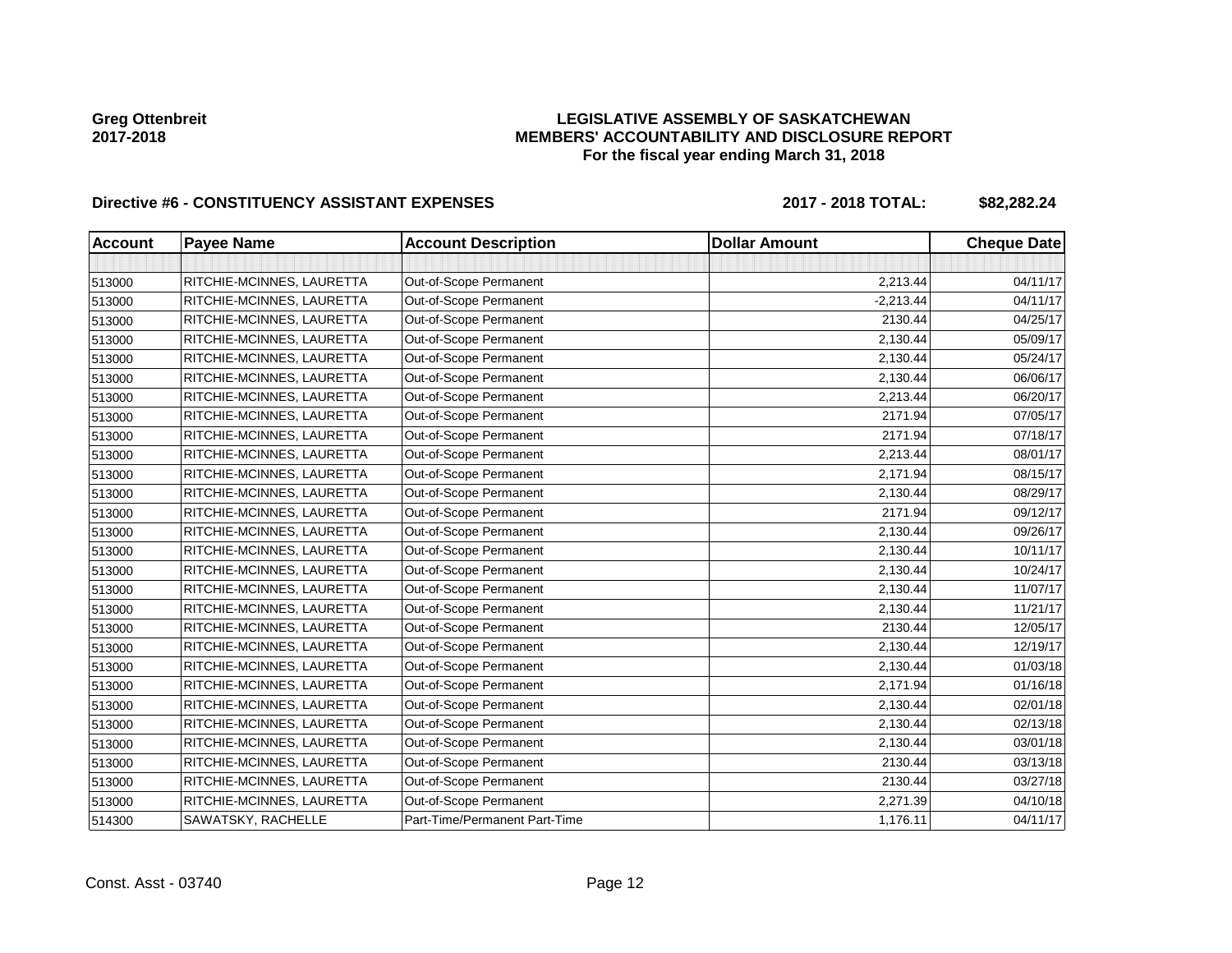## **LEGISLATIVE ASSEMBLY OF SASKATCHEWAN MEMBERS' ACCOUNTABILITY AND DISCLOSURE REPORT For the fiscal year ending March 31, 2018**

# Directive #6 - CONSTITUENCY ASSISTANT EXPENSES 2017 - 2018 TOTAL: \$82,282.24

| <b>Account</b> | <b>Payee Name</b>         | <b>Account Description</b>    | <b>Dollar Amount</b> | <b>Cheque Date</b> |
|----------------|---------------------------|-------------------------------|----------------------|--------------------|
|                |                           |                               |                      |                    |
| 513000         | RITCHIE-MCINNES, LAURETTA | Out-of-Scope Permanent        | 2,213.44             | 04/11/17           |
| 513000         | RITCHIE-MCINNES, LAURETTA | Out-of-Scope Permanent        | $-2,213.44$          | 04/11/17           |
| 513000         | RITCHIE-MCINNES, LAURETTA | Out-of-Scope Permanent        | 2130.44              | 04/25/17           |
| 513000         | RITCHIE-MCINNES, LAURETTA | Out-of-Scope Permanent        | 2,130.44             | 05/09/17           |
| 513000         | RITCHIE-MCINNES, LAURETTA | Out-of-Scope Permanent        | 2,130.44             | 05/24/17           |
| 513000         | RITCHIE-MCINNES, LAURETTA | Out-of-Scope Permanent        | 2,130.44             | 06/06/17           |
| 513000         | RITCHIE-MCINNES, LAURETTA | Out-of-Scope Permanent        | 2,213.44             | 06/20/17           |
| 513000         | RITCHIE-MCINNES, LAURETTA | Out-of-Scope Permanent        | 2171.94              | 07/05/17           |
| 513000         | RITCHIE-MCINNES, LAURETTA | Out-of-Scope Permanent        | 2171.94              | 07/18/17           |
| 513000         | RITCHIE-MCINNES, LAURETTA | Out-of-Scope Permanent        | 2,213.44             | 08/01/17           |
| 513000         | RITCHIE-MCINNES, LAURETTA | Out-of-Scope Permanent        | 2,171.94             | 08/15/17           |
| 513000         | RITCHIE-MCINNES, LAURETTA | Out-of-Scope Permanent        | 2,130.44             | 08/29/17           |
| 513000         | RITCHIE-MCINNES, LAURETTA | Out-of-Scope Permanent        | 2171.94              | 09/12/17           |
| 513000         | RITCHIE-MCINNES, LAURETTA | Out-of-Scope Permanent        | 2,130.44             | 09/26/17           |
| 513000         | RITCHIE-MCINNES, LAURETTA | Out-of-Scope Permanent        | 2,130.44             | 10/11/17           |
| 513000         | RITCHIE-MCINNES, LAURETTA | Out-of-Scope Permanent        | 2,130.44             | 10/24/17           |
| 513000         | RITCHIE-MCINNES, LAURETTA | Out-of-Scope Permanent        | 2,130.44             | 11/07/17           |
| 513000         | RITCHIE-MCINNES, LAURETTA | Out-of-Scope Permanent        | 2,130.44             | 11/21/17           |
| 513000         | RITCHIE-MCINNES, LAURETTA | Out-of-Scope Permanent        | 2130.44              | 12/05/17           |
| 513000         | RITCHIE-MCINNES, LAURETTA | Out-of-Scope Permanent        | 2,130.44             | 12/19/17           |
| 513000         | RITCHIE-MCINNES, LAURETTA | Out-of-Scope Permanent        | 2,130.44             | 01/03/18           |
| 513000         | RITCHIE-MCINNES, LAURETTA | Out-of-Scope Permanent        | 2,171.94             | 01/16/18           |
| 513000         | RITCHIE-MCINNES, LAURETTA | Out-of-Scope Permanent        | 2,130.44             | 02/01/18           |
| 513000         | RITCHIE-MCINNES, LAURETTA | Out-of-Scope Permanent        | 2,130.44             | 02/13/18           |
| 513000         | RITCHIE-MCINNES, LAURETTA | Out-of-Scope Permanent        | 2,130.44             | 03/01/18           |
| 513000         | RITCHIE-MCINNES, LAURETTA | Out-of-Scope Permanent        | 2130.44              | 03/13/18           |
| 513000         | RITCHIE-MCINNES, LAURETTA | Out-of-Scope Permanent        | 2130.44              | 03/27/18           |
| 513000         | RITCHIE-MCINNES, LAURETTA | Out-of-Scope Permanent        | 2,271.39             | 04/10/18           |
| 514300         | SAWATSKY, RACHELLE        | Part-Time/Permanent Part-Time | 1,176.11             | 04/11/17           |